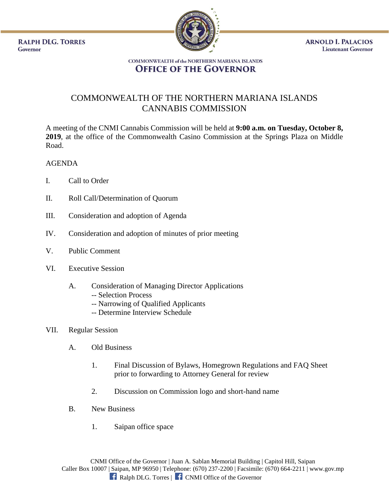**RALPH DLG. TORRES** Governor



**ARNOLD I. PALACIOS Lieutenant Governor** 

## **COMMONWEALTH of the NORTHERN MARIANA ISLANDS OFFICE OF THE GOVERNOR**

## COMMONWEALTH OF THE NORTHERN MARIANA ISLANDS CANNABIS COMMISSION

A meeting of the CNMI Cannabis Commission will be held at **9:00 a.m. on Tuesday, October 8, 2019**, at the office of the Commonwealth Casino Commission at the Springs Plaza on Middle Road.

## AGENDA

- I. Call to Order
- II. Roll Call/Determination of Quorum
- III. Consideration and adoption of Agenda
- IV. Consideration and adoption of minutes of prior meeting
- V. Public Comment
- VI. Executive Session
	- A. Consideration of Managing Director Applications
		- -- Selection Process
		- -- Narrowing of Qualified Applicants
		- -- Determine Interview Schedule
- VII. Regular Session
	- A. Old Business
		- 1. Final Discussion of Bylaws, Homegrown Regulations and FAQ Sheet prior to forwarding to Attorney General for review
		- 2. Discussion on Commission logo and short-hand name
	- B. New Business
		- 1. Saipan office space